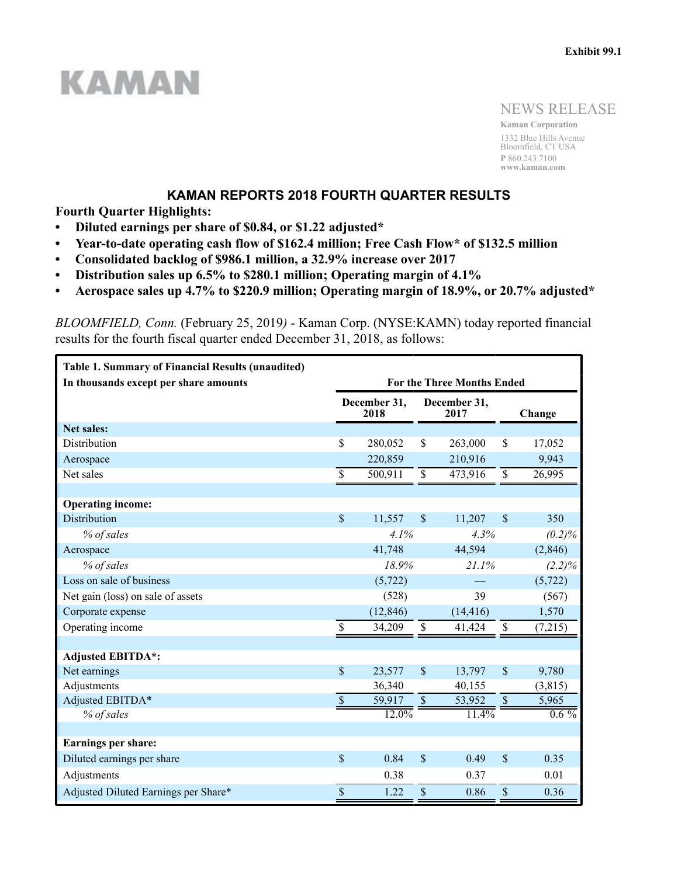# **KAMAN**

NEWS RELEASE

**Kaman Corporation** 1332 Blue Hills Avenue Bloomfield, CT USA **P** 860.243.7100 **www.kaman.com**

## **KAMAN REPORTS 2018 FOURTH QUARTER RESULTS**

**Fourth Quarter Highlights:**

- **Diluted earnings per share of \$0.84, or \$1.22 adjusted\***
- **Year-to-date operating cash flow of \$162.4 million; Free Cash Flow\* of \$132.5 million**
- **Consolidated backlog of \$986.1 million, a 32.9% increase over 2017**
- **Distribution sales up 6.5% to \$280.1 million; Operating margin of 4.1%**
- **Aerospace sales up 4.7% to \$220.9 million; Operating margin of 18.9%, or 20.7% adjusted\***

*BLOOMFIELD, Conn.* (February 25, 2019*)* - Kaman Corp. (NYSE:KAMN) today reported financial results for the fourth fiscal quarter ended December 31, 2018, as follows:

| <b>Table 1. Summary of Financial Results (unaudited)</b> |                           |                      |                    |                                   |               |           |
|----------------------------------------------------------|---------------------------|----------------------|--------------------|-----------------------------------|---------------|-----------|
| In thousands except per share amounts                    |                           |                      |                    | <b>For the Three Months Ended</b> |               |           |
|                                                          |                           | December 31,<br>2018 |                    | December 31,<br>2017              |               | Change    |
| <b>Net sales:</b>                                        |                           |                      |                    |                                   |               |           |
| Distribution                                             | \$                        | 280,052              | \$                 | 263,000                           | \$            | 17,052    |
| Aerospace                                                |                           | 220,859              |                    | 210,916                           |               | 9,943     |
| Net sales                                                | \$                        | 500,911              | $\mathbb S$        | 473,916                           | $\mathbb S$   | 26,995    |
|                                                          |                           |                      |                    |                                   |               |           |
| <b>Operating income:</b>                                 |                           |                      |                    |                                   |               |           |
| Distribution                                             | \$                        | 11,557               | $\mathsf{\$}$      | 11,207                            | $\mathcal{S}$ | 350       |
| % of sales                                               |                           | 4.1%                 |                    | 4.3%                              |               | (0.2)%    |
| Aerospace                                                |                           | 41,748               |                    | 44,594                            |               | (2, 846)  |
| % of sales                                               | 18.9%<br>21.1%            |                      |                    |                                   |               | $(2.2)\%$ |
| Loss on sale of business                                 |                           | (5, 722)             |                    |                                   |               | (5, 722)  |
| Net gain (loss) on sale of assets                        |                           | (528)                |                    | 39                                |               | (567)     |
| Corporate expense                                        |                           | (12, 846)            |                    | (14, 416)                         |               | 1,570     |
| Operating income                                         | \$                        | 34,209               | \$                 | 41,424                            | $\mathbb S$   | (7,215)   |
|                                                          |                           |                      |                    |                                   |               |           |
| <b>Adjusted EBITDA*:</b>                                 |                           |                      |                    |                                   |               |           |
| Net earnings                                             | $\mathsf{\$}$             | 23,577               | $\mathbf{\hat{S}}$ | 13,797                            | \$            | 9,780     |
| Adjustments                                              |                           | 36,340               |                    | 40,155                            |               | (3, 815)  |
| Adjusted EBITDA*                                         | $\mathcal{S}$             | 59,917               | $\$$               | 53,952                            | $\mathbb{S}$  | 5,965     |
| % of sales                                               |                           | $12.0\%$             |                    | 11.4%                             |               | $0.6\%$   |
|                                                          |                           |                      |                    |                                   |               |           |
| Earnings per share:                                      |                           |                      |                    |                                   |               |           |
| Diluted earnings per share                               | $\boldsymbol{\mathsf{S}}$ | 0.84                 | \$                 | 0.49                              | \$            | 0.35      |
| Adjustments                                              |                           | 0.38                 |                    | 0.37                              |               | 0.01      |
| Adjusted Diluted Earnings per Share*                     | \$                        | 1.22                 | \$                 | 0.86                              | \$            | 0.36      |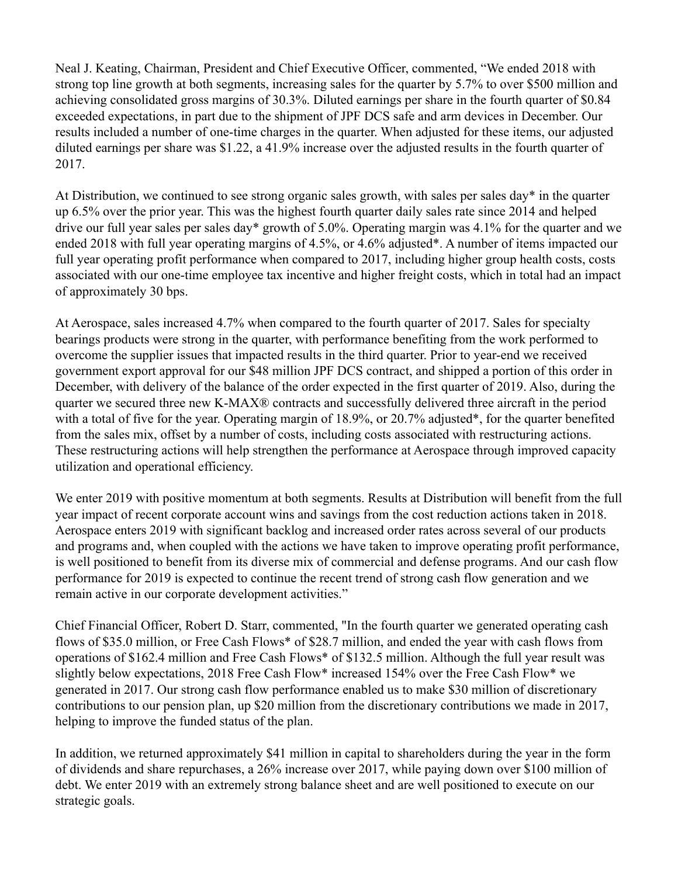Neal J. Keating, Chairman, President and Chief Executive Officer, commented, "We ended 2018 with strong top line growth at both segments, increasing sales for the quarter by 5.7% to over \$500 million and achieving consolidated gross margins of 30.3%. Diluted earnings per share in the fourth quarter of \$0.84 exceeded expectations, in part due to the shipment of JPF DCS safe and arm devices in December. Our results included a number of one-time charges in the quarter. When adjusted for these items, our adjusted diluted earnings per share was \$1.22, a 41.9% increase over the adjusted results in the fourth quarter of 2017.

At Distribution, we continued to see strong organic sales growth, with sales per sales day\* in the quarter up 6.5% over the prior year. This was the highest fourth quarter daily sales rate since 2014 and helped drive our full year sales per sales day\* growth of 5.0%. Operating margin was 4.1% for the quarter and we ended 2018 with full year operating margins of 4.5%, or 4.6% adjusted\*. A number of items impacted our full year operating profit performance when compared to 2017, including higher group health costs, costs associated with our one-time employee tax incentive and higher freight costs, which in total had an impact of approximately 30 bps.

At Aerospace, sales increased 4.7% when compared to the fourth quarter of 2017. Sales for specialty bearings products were strong in the quarter, with performance benefiting from the work performed to overcome the supplier issues that impacted results in the third quarter. Prior to year-end we received government export approval for our \$48 million JPF DCS contract, and shipped a portion of this order in December, with delivery of the balance of the order expected in the first quarter of 2019. Also, during the quarter we secured three new K-MAX® contracts and successfully delivered three aircraft in the period with a total of five for the year. Operating margin of 18.9%, or 20.7% adjusted\*, for the quarter benefited from the sales mix, offset by a number of costs, including costs associated with restructuring actions. These restructuring actions will help strengthen the performance at Aerospace through improved capacity utilization and operational efficiency.

We enter 2019 with positive momentum at both segments. Results at Distribution will benefit from the full year impact of recent corporate account wins and savings from the cost reduction actions taken in 2018. Aerospace enters 2019 with significant backlog and increased order rates across several of our products and programs and, when coupled with the actions we have taken to improve operating profit performance, is well positioned to benefit from its diverse mix of commercial and defense programs. And our cash flow performance for 2019 is expected to continue the recent trend of strong cash flow generation and we remain active in our corporate development activities."

Chief Financial Officer, Robert D. Starr, commented, "In the fourth quarter we generated operating cash flows of \$35.0 million, or Free Cash Flows\* of \$28.7 million, and ended the year with cash flows from operations of \$162.4 million and Free Cash Flows\* of \$132.5 million. Although the full year result was slightly below expectations, 2018 Free Cash Flow\* increased 154% over the Free Cash Flow\* we generated in 2017. Our strong cash flow performance enabled us to make \$30 million of discretionary contributions to our pension plan, up \$20 million from the discretionary contributions we made in 2017, helping to improve the funded status of the plan.

In addition, we returned approximately \$41 million in capital to shareholders during the year in the form of dividends and share repurchases, a 26% increase over 2017, while paying down over \$100 million of debt. We enter 2019 with an extremely strong balance sheet and are well positioned to execute on our strategic goals.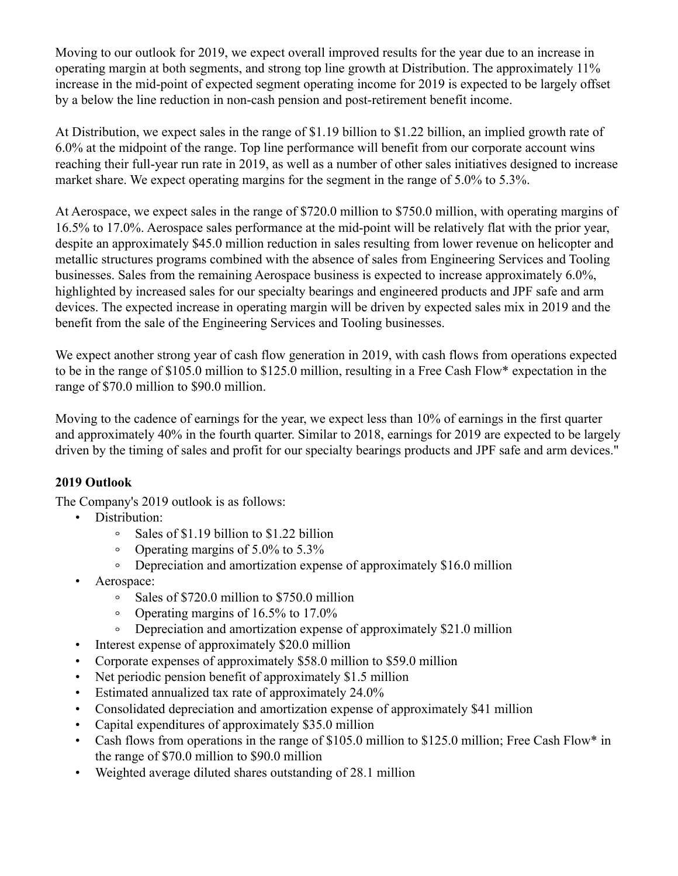Moving to our outlook for 2019, we expect overall improved results for the year due to an increase in operating margin at both segments, and strong top line growth at Distribution. The approximately 11% increase in the mid-point of expected segment operating income for 2019 is expected to be largely offset by a below the line reduction in non-cash pension and post-retirement benefit income.

At Distribution, we expect sales in the range of \$1.19 billion to \$1.22 billion, an implied growth rate of 6.0% at the midpoint of the range. Top line performance will benefit from our corporate account wins reaching their full-year run rate in 2019, as well as a number of other sales initiatives designed to increase market share. We expect operating margins for the segment in the range of 5.0% to 5.3%.

At Aerospace, we expect sales in the range of \$720.0 million to \$750.0 million, with operating margins of 16.5% to 17.0%. Aerospace sales performance at the mid-point will be relatively flat with the prior year, despite an approximately \$45.0 million reduction in sales resulting from lower revenue on helicopter and metallic structures programs combined with the absence of sales from Engineering Services and Tooling businesses. Sales from the remaining Aerospace business is expected to increase approximately 6.0%, highlighted by increased sales for our specialty bearings and engineered products and JPF safe and arm devices. The expected increase in operating margin will be driven by expected sales mix in 2019 and the benefit from the sale of the Engineering Services and Tooling businesses.

We expect another strong year of cash flow generation in 2019, with cash flows from operations expected to be in the range of \$105.0 million to \$125.0 million, resulting in a Free Cash Flow\* expectation in the range of \$70.0 million to \$90.0 million.

Moving to the cadence of earnings for the year, we expect less than 10% of earnings in the first quarter and approximately 40% in the fourth quarter. Similar to 2018, earnings for 2019 are expected to be largely driven by the timing of sales and profit for our specialty bearings products and JPF safe and arm devices."

# **2019 Outlook**

The Company's 2019 outlook is as follows:

- Distribution:
	- Sales of \$1.19 billion to \$1.22 billion  $\circ$
	- Operating margins of 5.0% to 5.3%  $\circ$
	- Depreciation and amortization expense of approximately \$16.0 million  $\circ$
- Aerospace:
	- $\circ$ Sales of \$720.0 million to \$750.0 million
	- $\circ$ Operating margins of 16.5% to 17.0%
	- Depreciation and amortization expense of approximately \$21.0 million
- Interest expense of approximately \$20.0 million
- Corporate expenses of approximately \$58.0 million to \$59.0 million
- Net periodic pension benefit of approximately \$1.5 million
- Estimated annualized tax rate of approximately 24.0%
- Consolidated depreciation and amortization expense of approximately \$41 million
- Capital expenditures of approximately \$35.0 million
- Cash flows from operations in the range of \$105.0 million to \$125.0 million; Free Cash Flow\* in the range of \$70.0 million to \$90.0 million
- Weighted average diluted shares outstanding of 28.1 million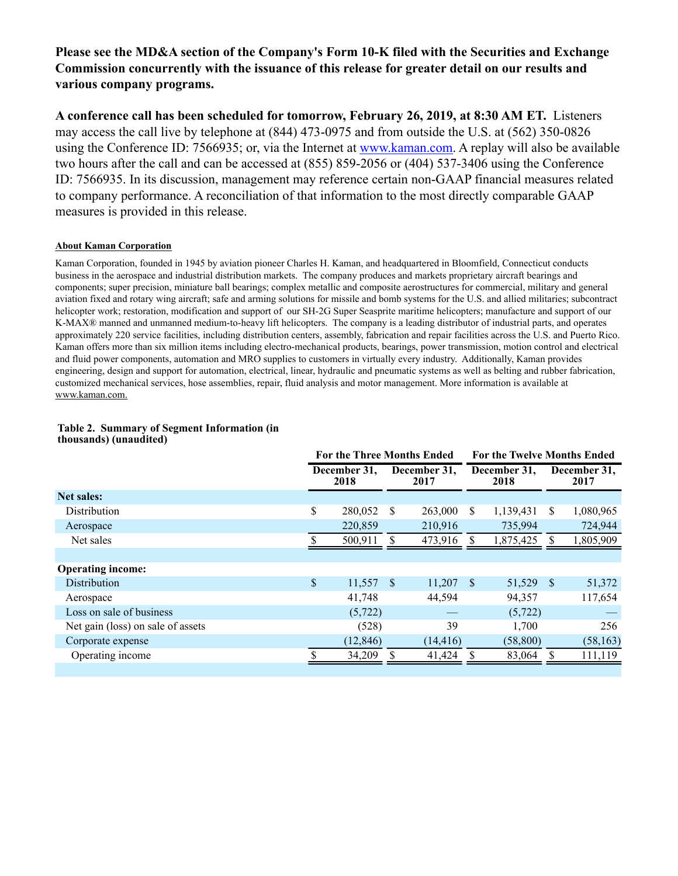## **Please see the MD&A section of the Company's Form 10-K filed with the Securities and Exchange Commission concurrently with the issuance of this release for greater detail on our results and various company programs.**

**A conference call has been scheduled for tomorrow, February 26, 2019, at 8:30 AM ET.** Listeners may access the call live by telephone at (844) 473-0975 and from outside the U.S. at (562) 350-0826 using the Conference ID: 7566935; or, via the Internet at www.kaman.com. A replay will also be available two hours after the call and can be accessed at (855) 859-2056 or (404) 537-3406 using the Conference ID: 7566935. In its discussion, management may reference certain non-GAAP financial measures related to company performance. A reconciliation of that information to the most directly comparable GAAP measures is provided in this release.

#### **About Kaman Corporation**

Kaman Corporation, founded in 1945 by aviation pioneer Charles H. Kaman, and headquartered in Bloomfield, Connecticut conducts business in the aerospace and industrial distribution markets. The company produces and markets proprietary aircraft bearings and components; super precision, miniature ball bearings; complex metallic and composite aerostructures for commercial, military and general aviation fixed and rotary wing aircraft; safe and arming solutions for missile and bomb systems for the U.S. and allied militaries; subcontract helicopter work; restoration, modification and support of our SH-2G Super Seasprite maritime helicopters; manufacture and support of our K-MAX® manned and unmanned medium-to-heavy lift helicopters. The company is a leading distributor of industrial parts, and operates approximately 220 service facilities, including distribution centers, assembly, fabrication and repair facilities across the U.S. and Puerto Rico. Kaman offers more than six million items including electro-mechanical products, bearings, power transmission, motion control and electrical and fluid power components, automation and MRO supplies to customers in virtually every industry. Additionally, Kaman provides engineering, design and support for automation, electrical, linear, hydraulic and pneumatic systems as well as belting and rubber fabrication, customized mechanical services, hose assemblies, repair, fluid analysis and motor management. More information is available at www.kaman.com.

|                                   | For the Three Months Ended |    | <b>For the Twelve Months Ended</b> |               |                      |               |                      |
|-----------------------------------|----------------------------|----|------------------------------------|---------------|----------------------|---------------|----------------------|
|                                   | December 31.<br>2018       |    | December 31.<br>2017               |               | December 31.<br>2018 |               | December 31,<br>2017 |
| <b>Net sales:</b>                 |                            |    |                                    |               |                      |               |                      |
| Distribution                      | \$<br>280,052              | S  | 263,000                            | <sup>\$</sup> | 1,139,431            | <sup>\$</sup> | 1,080,965            |
| Aerospace                         | 220,859                    |    | 210,916                            |               | 735,994              |               | 724,944              |
| Net sales                         | 500,911                    |    | 473,916                            |               | 1,875,425            | <b>S</b>      | 1,805,909            |
|                                   |                            |    |                                    |               |                      |               |                      |
| <b>Operating income:</b>          |                            |    |                                    |               |                      |               |                      |
| <b>Distribution</b>               | \$<br>11,557               | -S | 11,207                             | <sup>S</sup>  | 51,529               | -S            | 51,372               |
| Aerospace                         | 41,748                     |    | 44,594                             |               | 94,357               |               | 117,654              |
| Loss on sale of business          | (5, 722)                   |    |                                    |               | (5, 722)             |               |                      |
| Net gain (loss) on sale of assets | (528)                      |    | 39                                 |               | 1,700                |               | 256                  |
| Corporate expense                 | (12, 846)                  |    | (14, 416)                          |               | (58, 800)            |               | (58, 163)            |
| Operating income                  | 34,209                     |    | 41,424                             |               | 83,064               |               | 111,119              |
|                                   |                            |    |                                    |               |                      |               |                      |

#### **Table 2. Summary of Segment Information (in thousands) (unaudited)**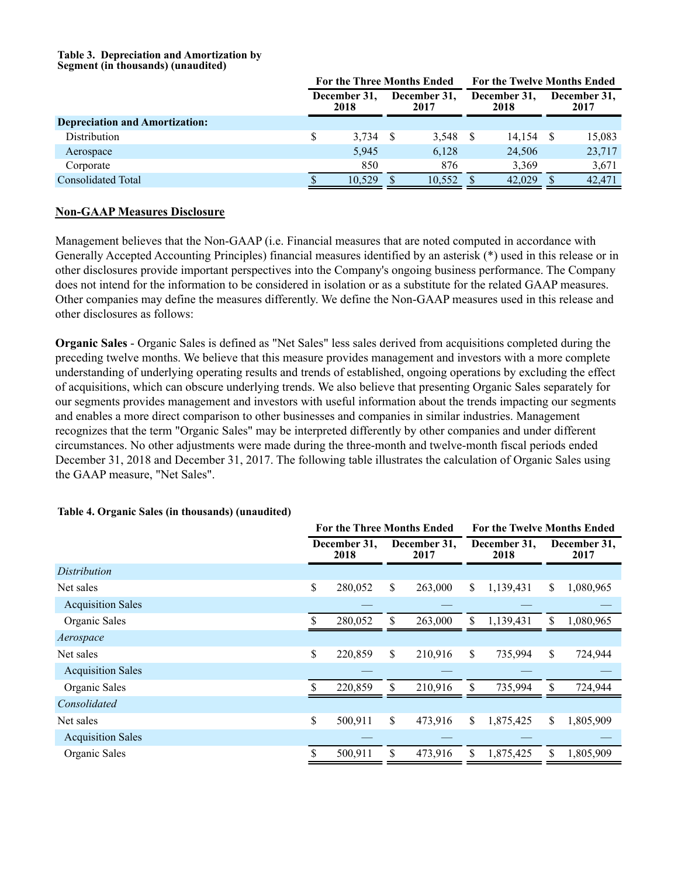#### **Table 3. Depreciation and Amortization by Segment (in thousands) (unaudited)**

|                                       |   | <b>For the Three Months Ended</b> |  | <b>For the Twelve Months Ended</b>           |  |                      |  |        |
|---------------------------------------|---|-----------------------------------|--|----------------------------------------------|--|----------------------|--|--------|
|                                       |   | December 31,<br>2018              |  | December 31,<br>December 31.<br>2018<br>2017 |  | December 31,<br>2017 |  |        |
| <b>Depreciation and Amortization:</b> |   |                                   |  |                                              |  |                      |  |        |
| Distribution                          | S | 3,734                             |  | $3,548$ \$                                   |  | 14,154               |  | 15,083 |
| Aerospace                             |   | 5,945                             |  | 6,128                                        |  | 24,506               |  | 23,717 |
| Corporate                             |   | 850                               |  | 876                                          |  | 3.369                |  | 3,671  |
| <b>Consolidated Total</b>             |   | 10.529                            |  | 10.552                                       |  | 42,029               |  | 42.471 |

## **Non-GAAP Measures Disclosure**

Management believes that the Non-GAAP (i.e. Financial measures that are noted computed in accordance with Generally Accepted Accounting Principles) financial measures identified by an asterisk (\*) used in this release or in other disclosures provide important perspectives into the Company's ongoing business performance. The Company does not intend for the information to be considered in isolation or as a substitute for the related GAAP measures. Other companies may define the measures differently. We define the Non-GAAP measures used in this release and other disclosures as follows:

**Organic Sales** - Organic Sales is defined as "Net Sales" less sales derived from acquisitions completed during the preceding twelve months. We believe that this measure provides management and investors with a more complete understanding of underlying operating results and trends of established, ongoing operations by excluding the effect of acquisitions, which can obscure underlying trends. We also believe that presenting Organic Sales separately for our segments provides management and investors with useful information about the trends impacting our segments and enables a more direct comparison to other businesses and companies in similar industries. Management recognizes that the term "Organic Sales" may be interpreted differently by other companies and under different circumstances. No other adjustments were made during the three-month and twelve-month fiscal periods ended December 31, 2018 and December 31, 2017. The following table illustrates the calculation of Organic Sales using the GAAP measure, "Net Sales".

|                          | <b>For the Three Months Ended</b> |         |                      |         |                      | <b>For the Twelve Months Ended</b> |    |                      |  |  |
|--------------------------|-----------------------------------|---------|----------------------|---------|----------------------|------------------------------------|----|----------------------|--|--|
|                          | December 31.<br>2018              |         | December 31,<br>2017 |         | December 31,<br>2018 |                                    |    | December 31,<br>2017 |  |  |
| Distribution             |                                   |         |                      |         |                      |                                    |    |                      |  |  |
| Net sales                | \$                                | 280,052 | \$                   | 263,000 | S.                   | 1,139,431                          | \$ | 1,080,965            |  |  |
| <b>Acquisition Sales</b> |                                   |         |                      |         |                      |                                    |    |                      |  |  |
| Organic Sales            |                                   | 280,052 | \$                   | 263,000 | \$                   | 1,139,431                          | \$ | 1,080,965            |  |  |
| Aerospace                |                                   |         |                      |         |                      |                                    |    |                      |  |  |
| Net sales                | \$                                | 220,859 | \$                   | 210,916 | \$                   | 735,994                            | \$ | 724,944              |  |  |
| <b>Acquisition Sales</b> |                                   |         |                      |         |                      |                                    |    |                      |  |  |
| Organic Sales            |                                   | 220,859 | \$                   | 210,916 | \$                   | 735,994                            | \$ | 724,944              |  |  |
| Consolidated             |                                   |         |                      |         |                      |                                    |    |                      |  |  |
| Net sales                | \$                                | 500,911 | \$                   | 473,916 | \$                   | 1,875,425                          | \$ | 1,805,909            |  |  |
| <b>Acquisition Sales</b> |                                   |         |                      |         |                      |                                    |    |                      |  |  |
| Organic Sales            | \$                                | 500,911 | \$                   | 473,916 | S                    | 1,875,425                          | S  | 1,805,909            |  |  |

#### **Table 4. Organic Sales (in thousands) (unaudited)**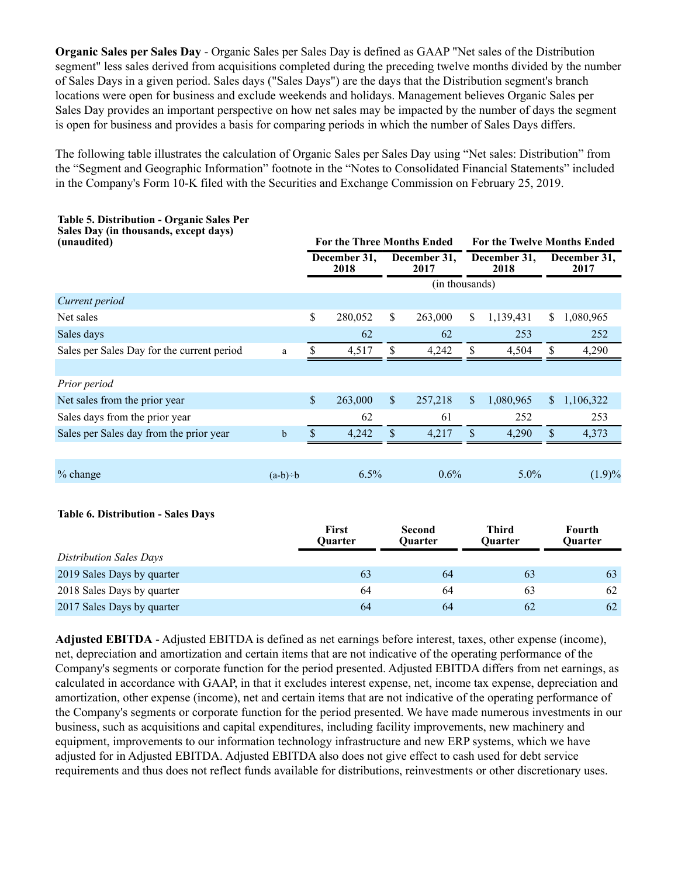**Organic Sales per Sales Day** - Organic Sales per Sales Day is defined as GAAP "Net sales of the Distribution segment" less sales derived from acquisitions completed during the preceding twelve months divided by the number of Sales Days in a given period. Sales days ("Sales Days") are the days that the Distribution segment's branch locations were open for business and exclude weekends and holidays. Management believes Organic Sales per Sales Day provides an important perspective on how net sales may be impacted by the number of days the segment is open for business and provides a basis for comparing periods in which the number of Sales Days differs.

The following table illustrates the calculation of Organic Sales per Sales Day using "Net sales: Distribution" from the "Segment and Geographic Information" footnote in the "Notes to Consolidated Financial Statements" included in the Company's Form 10-K filed with the Securities and Exchange Commission on February 25, 2019.

| Table 5. Distribution - Organic Sales Per<br>Sales Day (in thousands, except days)<br>(unaudited) |             |              | <b>For the Three Months Ended</b> |                           |                          |              | <b>For the Twelve Months Ended</b> |      |                          |
|---------------------------------------------------------------------------------------------------|-------------|--------------|-----------------------------------|---------------------------|--------------------------|--------------|------------------------------------|------|--------------------------|
|                                                                                                   |             |              | December 31,<br>2018              |                           | December 31,<br>2017     |              | December 31,<br>2018               |      | December 31,<br>2017     |
|                                                                                                   |             |              |                                   |                           | (in thousands)           |              |                                    |      |                          |
| Current period                                                                                    |             |              |                                   |                           |                          |              |                                    |      |                          |
| Net sales                                                                                         |             | \$           | 280,052                           | \$                        | 263,000                  | S.           | 1,139,431                          | \$   | 1,080,965                |
| Sales days                                                                                        |             |              | 62                                |                           | 62                       |              | 253                                |      | 252                      |
| Sales per Sales Day for the current period                                                        | $\rm{a}$    | $\mathbb S$  | 4,517                             | \$                        | 4,242                    | \$           | 4,504                              | \$   | 4,290                    |
|                                                                                                   |             |              |                                   |                           |                          |              |                                    |      |                          |
| Prior period                                                                                      |             |              |                                   |                           |                          |              |                                    |      |                          |
| Net sales from the prior year                                                                     |             | $\mathbb{S}$ | 263,000                           | $\boldsymbol{\mathsf{S}}$ | 257,218                  | $\mathbb{S}$ | 1,080,965                          | \$   | 1,106,322                |
| Sales days from the prior year                                                                    |             |              | 62                                |                           | 61                       |              | 252                                |      | 253                      |
| Sales per Sales day from the prior year                                                           | $\mathbf b$ | \$           | 4,242                             | $\$$                      | 4,217                    | \$           | 4,290                              | $\$$ | 4,373                    |
|                                                                                                   |             |              |                                   |                           |                          |              |                                    |      |                          |
| $%$ change                                                                                        | $(a-b)=b$   |              | 6.5%                              |                           | 0.6%                     |              | 5.0%                               |      | (1.9)%                   |
| <b>Table 6. Distribution - Sales Days</b>                                                         |             |              | <b>First</b><br>Quarter           |                           | <b>Second</b><br>Quarter |              | <b>Third</b><br>Quarter            |      | <b>Fourth</b><br>Quarter |
| <b>Distribution Sales Days</b>                                                                    |             |              |                                   |                           |                          |              |                                    |      |                          |
| 2019 Sales Days by quarter                                                                        |             |              | 63                                |                           | 64                       |              | 63                                 |      | 63                       |
| 2018 Sales Days by quarter                                                                        |             |              | 64                                |                           | 64                       |              | 63                                 |      | 62                       |
| 2017 Sales Days by quarter                                                                        |             |              | 64                                |                           | 64                       |              | 62                                 |      | 62                       |

**Adjusted EBITDA** - Adjusted EBITDA is defined as net earnings before interest, taxes, other expense (income), net, depreciation and amortization and certain items that are not indicative of the operating performance of the Company's segments or corporate function for the period presented. Adjusted EBITDA differs from net earnings, as calculated in accordance with GAAP, in that it excludes interest expense, net, income tax expense, depreciation and amortization, other expense (income), net and certain items that are not indicative of the operating performance of the Company's segments or corporate function for the period presented. We have made numerous investments in our business, such as acquisitions and capital expenditures, including facility improvements, new machinery and equipment, improvements to our information technology infrastructure and new ERP systems, which we have adjusted for in Adjusted EBITDA. Adjusted EBITDA also does not give effect to cash used for debt service requirements and thus does not reflect funds available for distributions, reinvestments or other discretionary uses.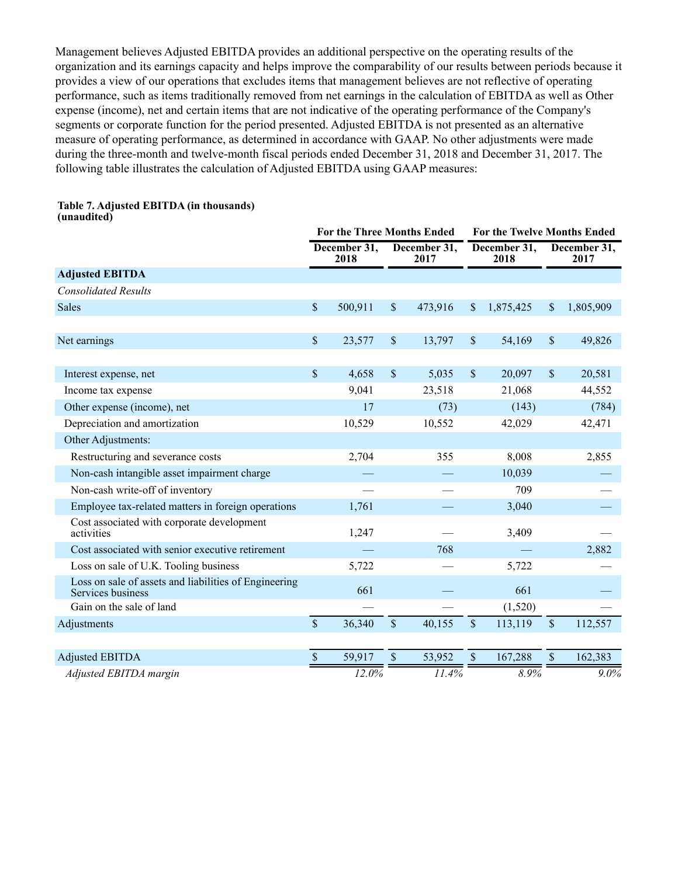Management believes Adjusted EBITDA provides an additional perspective on the operating results of the organization and its earnings capacity and helps improve the comparability of our results between periods because it provides a view of our operations that excludes items that management believes are not reflective of operating performance, such as items traditionally removed from net earnings in the calculation of EBITDA as well as Other expense (income), net and certain items that are not indicative of the operating performance of the Company's segments or corporate function for the period presented. Adjusted EBITDA is not presented as an alternative measure of operating performance, as determined in accordance with GAAP. No other adjustments were made during the three-month and twelve-month fiscal periods ended December 31, 2018 and December 31, 2017. The following table illustrates the calculation of Adjusted EBITDA using GAAP measures:

|                                                                            | <b>For the Three Months Ended</b> |                      |               |                      |               | For the Twelve Months Ended |             |                      |  |  |
|----------------------------------------------------------------------------|-----------------------------------|----------------------|---------------|----------------------|---------------|-----------------------------|-------------|----------------------|--|--|
|                                                                            |                                   | December 31,<br>2018 |               | December 31,<br>2017 |               | December 31,<br>2018        |             | December 31,<br>2017 |  |  |
| <b>Adjusted EBITDA</b>                                                     |                                   |                      |               |                      |               |                             |             |                      |  |  |
| <b>Consolidated Results</b>                                                |                                   |                      |               |                      |               |                             |             |                      |  |  |
| <b>Sales</b>                                                               | \$                                | 500,911              | $\mathbf{\$}$ | 473,916              | \$            | 1,875,425                   | \$          | 1,805,909            |  |  |
|                                                                            |                                   |                      |               |                      |               |                             |             |                      |  |  |
| Net earnings                                                               | \$                                | 23,577               | \$            | 13,797               | $\mathcal{S}$ | 54,169                      | \$          | 49,826               |  |  |
| Interest expense, net                                                      | $\mathcal{S}$                     | 4,658                | $\mathsf{\$}$ | 5,035                | $\mathsf{\$}$ | 20,097                      | $\sqrt{\ }$ | 20,581               |  |  |
| Income tax expense                                                         |                                   | 9,041                |               | 23,518               |               | 21,068                      |             | 44,552               |  |  |
| Other expense (income), net                                                |                                   | 17                   |               | (73)                 |               | (143)                       |             | (784)                |  |  |
| Depreciation and amortization                                              |                                   | 10,529               |               | 10,552               |               | 42,029                      |             | 42,471               |  |  |
| Other Adjustments:                                                         |                                   |                      |               |                      |               |                             |             |                      |  |  |
| Restructuring and severance costs                                          |                                   | 2,704                |               | 355                  |               | 8,008                       |             | 2,855                |  |  |
| Non-cash intangible asset impairment charge                                |                                   |                      |               |                      |               | 10,039                      |             |                      |  |  |
| Non-cash write-off of inventory                                            |                                   |                      |               |                      |               | 709                         |             |                      |  |  |
| Employee tax-related matters in foreign operations                         |                                   | 1,761                |               |                      |               | 3,040                       |             |                      |  |  |
| Cost associated with corporate development<br>activities                   |                                   | 1,247                |               |                      |               | 3,409                       |             |                      |  |  |
| Cost associated with senior executive retirement                           |                                   |                      |               | 768                  |               |                             |             | 2,882                |  |  |
| Loss on sale of U.K. Tooling business                                      |                                   | 5,722                |               |                      |               | 5,722                       |             |                      |  |  |
| Loss on sale of assets and liabilities of Engineering<br>Services business |                                   | 661                  |               |                      |               | 661                         |             |                      |  |  |
| Gain on the sale of land                                                   |                                   |                      |               |                      |               | (1,520)                     |             |                      |  |  |
| Adjustments                                                                | $\mathsf{\$}$                     | 36,340               | $\mathsf{\$}$ | 40,155               | $\mathsf{\$}$ | 113,119                     | $\sqrt{\ }$ | 112,557              |  |  |
|                                                                            |                                   |                      |               |                      |               |                             |             |                      |  |  |
| <b>Adjusted EBITDA</b>                                                     | $\mathbb S$                       | 59,917               | $\mathcal{S}$ | 53,952               | \$            | 167,288                     | $\mathbb S$ | 162,383              |  |  |
| Adjusted EBITDA margin                                                     |                                   | 12.0%                |               | 11.4%                |               | 8.9%                        |             | $9.0\%$              |  |  |

# **Table 7. Adjusted EBITDA (in thousands)**

**(unaudited)**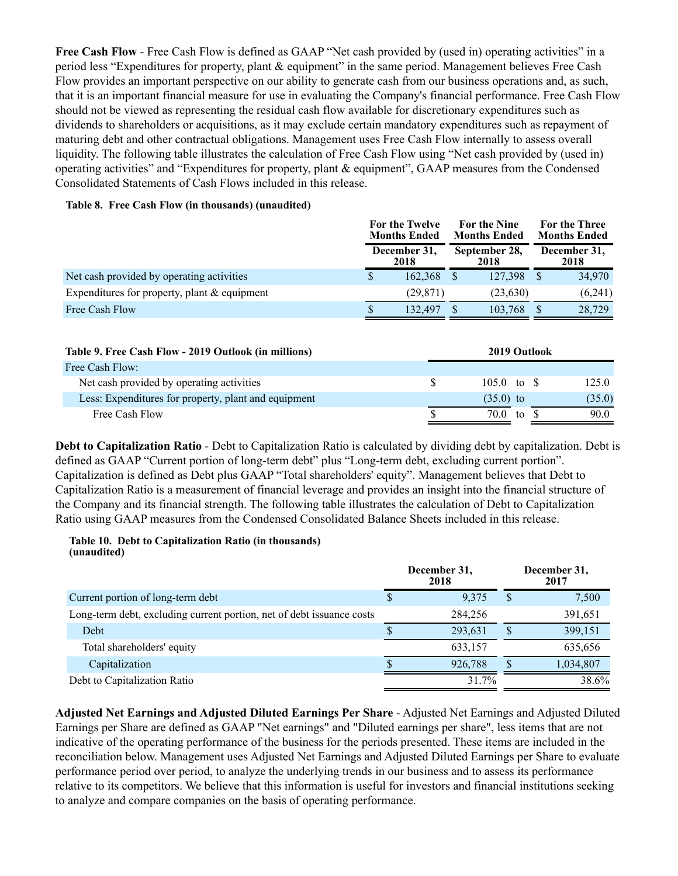**Free Cash Flow** - Free Cash Flow is defined as GAAP "Net cash provided by (used in) operating activities" in a period less "Expenditures for property, plant & equipment" in the same period. Management believes Free Cash Flow provides an important perspective on our ability to generate cash from our business operations and, as such, that it is an important financial measure for use in evaluating the Company's financial performance. Free Cash Flow should not be viewed as representing the residual cash flow available for discretionary expenditures such as dividends to shareholders or acquisitions, as it may exclude certain mandatory expenditures such as repayment of maturing debt and other contractual obligations. Management uses Free Cash Flow internally to assess overall liquidity. The following table illustrates the calculation of Free Cash Flow using "Net cash provided by (used in) operating activities" and "Expenditures for property, plant & equipment", GAAP measures from the Condensed Consolidated Statements of Cash Flows included in this release.

#### **Table 8. Free Cash Flow (in thousands) (unaudited)**

|                                                |  | For the Twelve<br><b>Months Ended</b> | <b>For the Nine</b><br><b>Months Ended</b> | For the Three<br><b>Months Ended</b> |
|------------------------------------------------|--|---------------------------------------|--------------------------------------------|--------------------------------------|
|                                                |  | December 31,<br>2018                  | September 28,<br>2018                      | December 31,<br>2018                 |
| Net cash provided by operating activities      |  | 162.368                               | 127.398                                    | 34,970                               |
| Expenditures for property, plant $&$ equipment |  | (29, 871)                             | (23, 630)                                  | (6,241)                              |
| Free Cash Flow                                 |  | 132,497                               | 103,768                                    | 28,729                               |

| Table 9. Free Cash Flow - 2019 Outlook (in millions) |   | 2019 Outlook          |  |        |
|------------------------------------------------------|---|-----------------------|--|--------|
| Free Cash Flow:                                      |   |                       |  |        |
| Net cash provided by operating activities            | S | $105.0 \text{ to }$ S |  | 125.0  |
| Less: Expenditures for property, plant and equipment |   | $(35.0)$ to           |  | (35.0) |
| Free Cash Flow                                       |   | $70.0$ to             |  | 90.0   |

**Debt to Capitalization Ratio** - Debt to Capitalization Ratio is calculated by dividing debt by capitalization. Debt is defined as GAAP "Current portion of long-term debt" plus "Long-term debt, excluding current portion". Capitalization is defined as Debt plus GAAP "Total shareholders' equity". Management believes that Debt to Capitalization Ratio is a measurement of financial leverage and provides an insight into the financial structure of the Company and its financial strength. The following table illustrates the calculation of Debt to Capitalization Ratio using GAAP measures from the Condensed Consolidated Balance Sheets included in this release.

#### **Table 10. Debt to Capitalization Ratio (in thousands) (unaudited)**

|                                                                       |   | December 31,<br>2018 |   | December 31,<br>2017 |
|-----------------------------------------------------------------------|---|----------------------|---|----------------------|
| Current portion of long-term debt                                     | S | 9,375                |   | 7,500                |
| Long-term debt, excluding current portion, net of debt issuance costs |   | 284,256              |   | 391,651              |
| Debt                                                                  | S | 293,631              | S | 399,151              |
| Total shareholders' equity                                            |   | 633,157              |   | 635,656              |
| Capitalization                                                        |   | 926,788              | S | 1,034,807            |
| Debt to Capitalization Ratio                                          |   | 31 7%                |   | 38.6%                |

**Adjusted Net Earnings and Adjusted Diluted Earnings Per Share** - Adjusted Net Earnings and Adjusted Diluted Earnings per Share are defined as GAAP "Net earnings" and "Diluted earnings per share", less items that are not indicative of the operating performance of the business for the periods presented. These items are included in the reconciliation below. Management uses Adjusted Net Earnings and Adjusted Diluted Earnings per Share to evaluate performance period over period, to analyze the underlying trends in our business and to assess its performance relative to its competitors. We believe that this information is useful for investors and financial institutions seeking to analyze and compare companies on the basis of operating performance.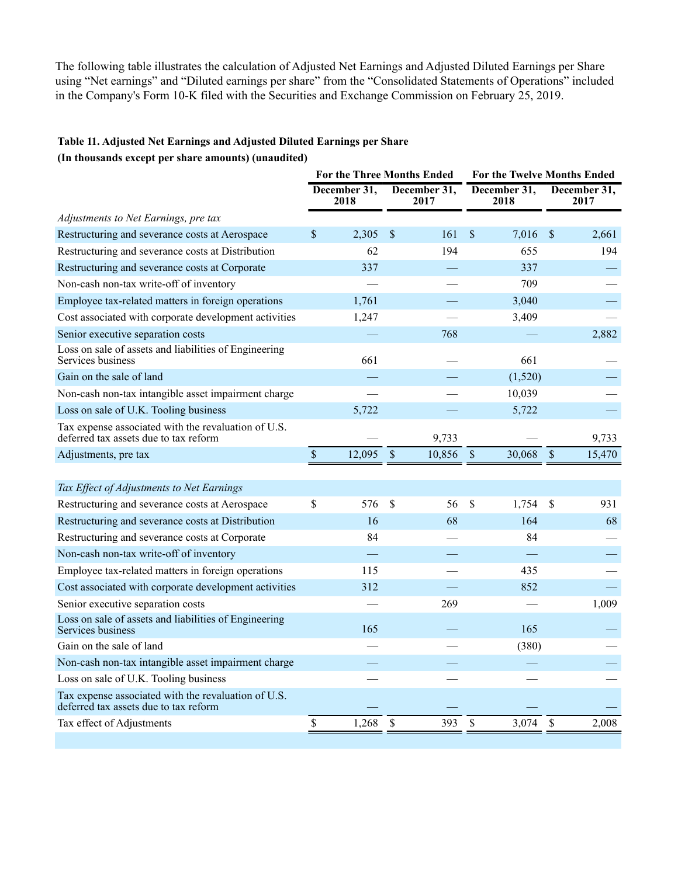The following table illustrates the calculation of Adjusted Net Earnings and Adjusted Diluted Earnings per Share using "Net earnings" and "Diluted earnings per share" from the "Consolidated Statements of Operations" included in the Company's Form 10-K filed with the Securities and Exchange Commission on February 25, 2019.

## **Table 11. Adjusted Net Earnings and Adjusted Diluted Earnings per Share**

#### **(In thousands except per share amounts) (unaudited)**

|                                                                                              |              | <b>For the Three Months Ended</b> |                      |              | For the Twelve Months Ended |             |                      |  |
|----------------------------------------------------------------------------------------------|--------------|-----------------------------------|----------------------|--------------|-----------------------------|-------------|----------------------|--|
|                                                                                              |              | December 31,<br>2018              | December 31,<br>2017 |              | December 31,<br>2018        |             | December 31,<br>2017 |  |
| Adjustments to Net Earnings, pre tax                                                         |              |                                   |                      |              |                             |             |                      |  |
| Restructuring and severance costs at Aerospace                                               | $\mathbb{S}$ | 2,305                             | \$<br>161            | \$           | 7,016                       | \$          | 2,661                |  |
| Restructuring and severance costs at Distribution                                            |              | 62                                | 194                  |              | 655                         |             | 194                  |  |
| Restructuring and severance costs at Corporate                                               |              | 337                               |                      |              | 337                         |             |                      |  |
| Non-cash non-tax write-off of inventory                                                      |              |                                   |                      |              | 709                         |             |                      |  |
| Employee tax-related matters in foreign operations                                           |              | 1,761                             |                      |              | 3,040                       |             |                      |  |
| Cost associated with corporate development activities                                        |              | 1,247                             |                      |              | 3,409                       |             |                      |  |
| Senior executive separation costs                                                            |              |                                   | 768                  |              |                             |             | 2,882                |  |
| Loss on sale of assets and liabilities of Engineering<br>Services business                   |              | 661                               |                      |              | 661                         |             |                      |  |
| Gain on the sale of land                                                                     |              |                                   |                      |              | (1,520)                     |             |                      |  |
| Non-cash non-tax intangible asset impairment charge                                          |              |                                   |                      |              | 10,039                      |             |                      |  |
| Loss on sale of U.K. Tooling business                                                        |              | 5,722                             |                      |              | 5,722                       |             |                      |  |
| Tax expense associated with the revaluation of U.S.<br>deferred tax assets due to tax reform |              |                                   | 9,733                |              |                             |             | 9,733                |  |
| Adjustments, pre tax                                                                         | $\mathbb S$  | 12,095                            | \$<br>10,856         | $\mathbb{S}$ | 30,068                      | $\mathbb S$ | 15,470               |  |
|                                                                                              |              |                                   |                      |              |                             |             |                      |  |
| Tax Effect of Adjustments to Net Earnings                                                    |              |                                   |                      |              |                             |             |                      |  |
| Restructuring and severance costs at Aerospace                                               | \$           | 576                               | \$<br>56             | \$           | 1,754                       | \$          | 931                  |  |
| Restructuring and severance costs at Distribution                                            |              | 16                                | 68                   |              | 164                         |             | 68                   |  |
| Restructuring and severance costs at Corporate                                               |              | 84                                |                      |              | 84                          |             |                      |  |
| Non-cash non-tax write-off of inventory                                                      |              |                                   |                      |              |                             |             |                      |  |
| Employee tax-related matters in foreign operations                                           |              | 115                               |                      |              | 435                         |             |                      |  |
| Cost associated with corporate development activities                                        |              | 312                               |                      |              | 852                         |             |                      |  |
| Senior executive separation costs                                                            |              |                                   | 269                  |              |                             |             | 1,009                |  |
| Loss on sale of assets and liabilities of Engineering<br>Services business                   |              | 165                               |                      |              | 165                         |             |                      |  |
| Gain on the sale of land                                                                     |              |                                   |                      |              | (380)                       |             |                      |  |
| Non-cash non-tax intangible asset impairment charge                                          |              |                                   |                      |              |                             |             |                      |  |
| Loss on sale of U.K. Tooling business                                                        |              |                                   |                      |              |                             |             |                      |  |
| Tax expense associated with the revaluation of U.S.<br>deferred tax assets due to tax reform |              |                                   |                      |              |                             |             |                      |  |
| Tax effect of Adjustments                                                                    | \$           | 1,268                             | \$<br>393            | \$           | 3,074                       | \$          | 2,008                |  |
|                                                                                              |              |                                   |                      |              |                             |             |                      |  |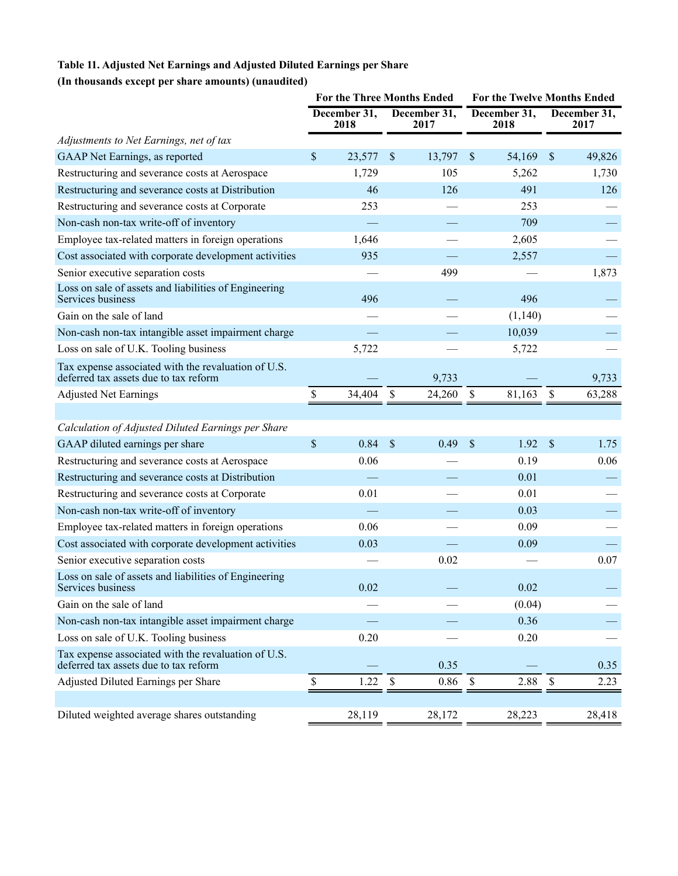# **Table 11. Adjusted Net Earnings and Adjusted Diluted Earnings per Share**

# **(In thousands except per share amounts) (unaudited)**

|                                                                                              |                      | <b>For the Three Months Ended</b> | <b>For the Twelve Months Ended</b> |                      |                           |                      |
|----------------------------------------------------------------------------------------------|----------------------|-----------------------------------|------------------------------------|----------------------|---------------------------|----------------------|
|                                                                                              | December 31,<br>2018 | December 31,<br>2017              |                                    | December 31,<br>2018 |                           | December 31,<br>2017 |
| Adjustments to Net Earnings, net of tax                                                      |                      |                                   |                                    |                      |                           |                      |
| GAAP Net Earnings, as reported                                                               | \$<br>23,577         | \$<br>13,797                      | $\boldsymbol{\mathsf{S}}$          | 54,169               | $\mathbb{S}$              | 49,826               |
| Restructuring and severance costs at Aerospace                                               | 1,729                | 105                               |                                    | 5,262                |                           | 1,730                |
| Restructuring and severance costs at Distribution                                            | 46                   | 126                               |                                    | 491                  |                           | 126                  |
| Restructuring and severance costs at Corporate                                               | 253                  |                                   |                                    | 253                  |                           |                      |
| Non-cash non-tax write-off of inventory                                                      |                      |                                   |                                    | 709                  |                           |                      |
| Employee tax-related matters in foreign operations                                           | 1,646                |                                   |                                    | 2,605                |                           |                      |
| Cost associated with corporate development activities                                        | 935                  |                                   |                                    | 2,557                |                           |                      |
| Senior executive separation costs                                                            |                      | 499                               |                                    |                      |                           | 1,873                |
| Loss on sale of assets and liabilities of Engineering<br>Services business                   | 496                  |                                   |                                    | 496                  |                           |                      |
| Gain on the sale of land                                                                     |                      |                                   |                                    | (1,140)              |                           |                      |
| Non-cash non-tax intangible asset impairment charge                                          |                      |                                   |                                    | 10,039               |                           |                      |
| Loss on sale of U.K. Tooling business                                                        | 5,722                |                                   |                                    | 5,722                |                           |                      |
| Tax expense associated with the revaluation of U.S.<br>deferred tax assets due to tax reform |                      | 9,733                             |                                    |                      |                           | 9,733                |
| <b>Adjusted Net Earnings</b>                                                                 | \$<br>34,404         | \$<br>24,260                      | \$                                 | 81,163               | $\boldsymbol{\mathsf{S}}$ | 63,288               |
|                                                                                              |                      |                                   |                                    |                      |                           |                      |
| Calculation of Adjusted Diluted Earnings per Share                                           |                      |                                   |                                    |                      |                           |                      |
| GAAP diluted earnings per share                                                              | \$<br>0.84           | \$<br>0.49                        | $\boldsymbol{\mathsf{S}}$          | 1.92                 | $\mathbb{S}$              | 1.75                 |
| Restructuring and severance costs at Aerospace                                               | 0.06                 |                                   |                                    | 0.19                 |                           | 0.06                 |
| Restructuring and severance costs at Distribution                                            |                      |                                   |                                    | 0.01                 |                           |                      |
| Restructuring and severance costs at Corporate                                               | 0.01                 |                                   |                                    | 0.01                 |                           |                      |
| Non-cash non-tax write-off of inventory                                                      |                      |                                   |                                    | 0.03                 |                           |                      |
| Employee tax-related matters in foreign operations                                           | 0.06                 |                                   |                                    | 0.09                 |                           |                      |
| Cost associated with corporate development activities                                        | 0.03                 |                                   |                                    | 0.09                 |                           |                      |
| Senior executive separation costs                                                            |                      | 0.02                              |                                    |                      |                           | 0.07                 |
| Loss on sale of assets and liabilities of Engineering<br>Services business                   | 0.02                 |                                   |                                    | 0.02                 |                           |                      |
| Gain on the sale of land                                                                     |                      |                                   |                                    | (0.04)               |                           |                      |
| Non-cash non-tax intangible asset impairment charge                                          |                      |                                   |                                    | 0.36                 |                           |                      |
| Loss on sale of U.K. Tooling business                                                        | 0.20                 |                                   |                                    | 0.20                 |                           |                      |
| Tax expense associated with the revaluation of U.S.<br>deferred tax assets due to tax reform |                      | 0.35                              |                                    |                      |                           | 0.35                 |
| Adjusted Diluted Earnings per Share                                                          | \$<br>1.22           | \$<br>0.86                        | \$                                 | 2.88                 | $\mathbb S$               | 2.23                 |
|                                                                                              |                      |                                   |                                    |                      |                           |                      |
| Diluted weighted average shares outstanding                                                  | 28,119               | 28,172                            |                                    | 28,223               |                           | 28,418               |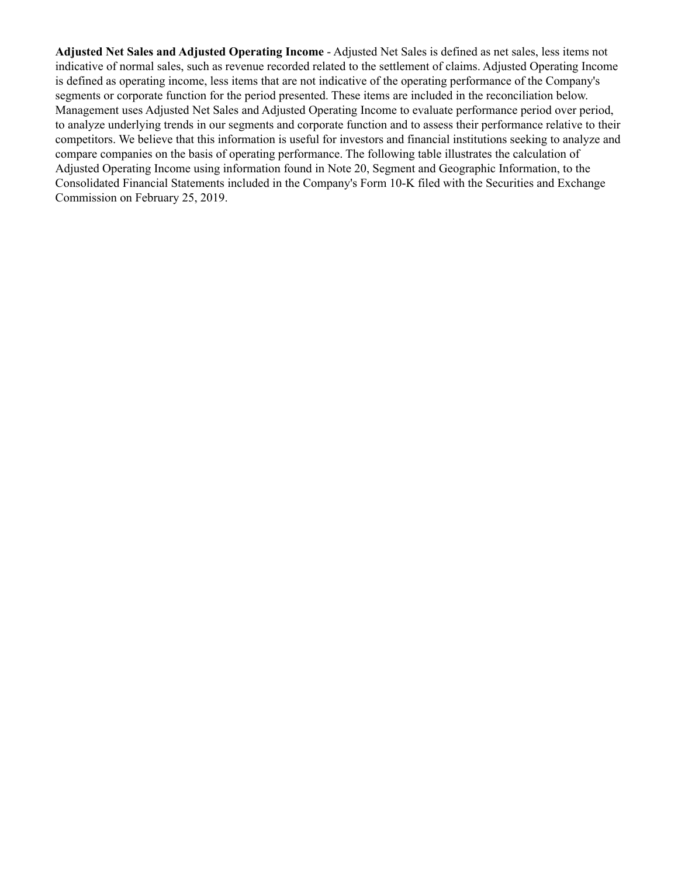**Adjusted Net Sales and Adjusted Operating Income** - Adjusted Net Sales is defined as net sales, less items not indicative of normal sales, such as revenue recorded related to the settlement of claims. Adjusted Operating Income is defined as operating income, less items that are not indicative of the operating performance of the Company's segments or corporate function for the period presented. These items are included in the reconciliation below. Management uses Adjusted Net Sales and Adjusted Operating Income to evaluate performance period over period, to analyze underlying trends in our segments and corporate function and to assess their performance relative to their competitors. We believe that this information is useful for investors and financial institutions seeking to analyze and compare companies on the basis of operating performance. The following table illustrates the calculation of Adjusted Operating Income using information found in Note 20, Segment and Geographic Information, to the Consolidated Financial Statements included in the Company's Form 10-K filed with the Securities and Exchange Commission on February 25, 2019.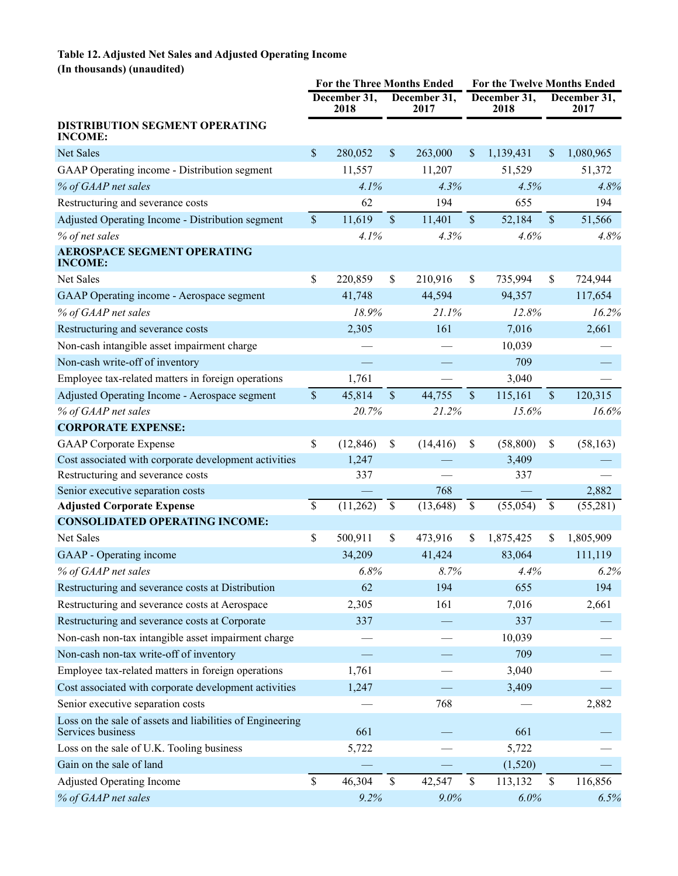## **Table 12. Adjusted Net Sales and Adjusted Operating Income (In thousands) (unaudited)**

|                                                                                | <b>For the Three Months Ended</b> |                      |             |                      |              | For the Twelve Months Ended |                           |                      |
|--------------------------------------------------------------------------------|-----------------------------------|----------------------|-------------|----------------------|--------------|-----------------------------|---------------------------|----------------------|
|                                                                                |                                   | December 31,<br>2018 |             | December 31,<br>2017 |              | December 31,<br>2018        |                           | December 31,<br>2017 |
| DISTRIBUTION SEGMENT OPERATING<br><b>INCOME:</b>                               |                                   |                      |             |                      |              |                             |                           |                      |
| Net Sales                                                                      | \$                                | 280,052              | \$          | 263,000              | \$           | 1,139,431                   | \$                        | 1,080,965            |
| GAAP Operating income - Distribution segment                                   |                                   | 11,557               |             | 11,207               |              | 51,529                      |                           | 51,372               |
| % of GAAP net sales                                                            |                                   | 4.1%                 |             | 4.3%                 |              | 4.5%                        |                           | 4.8%                 |
| Restructuring and severance costs                                              |                                   | 62                   |             | 194                  |              | 655                         |                           | 194                  |
| Adjusted Operating Income - Distribution segment                               | $\sqrt{\ }$                       | 11,619               | $\sqrt{\ }$ | 11,401               | $\sqrt{\ }$  | 52,184                      | $\mathcal{S}$             | 51,566               |
| % of net sales                                                                 |                                   | 4.1%                 |             | 4.3%                 |              | 4.6%                        |                           | 4.8%                 |
| <b>AEROSPACE SEGMENT OPERATING</b><br><b>INCOME:</b>                           |                                   |                      |             |                      |              |                             |                           |                      |
| Net Sales                                                                      | \$                                | 220,859              | \$          | 210,916              | \$           | 735,994                     | \$                        | 724,944              |
| GAAP Operating income - Aerospace segment                                      |                                   | 41,748               |             | 44,594               |              | 94,357                      |                           | 117,654              |
| % of GAAP net sales                                                            |                                   | 18.9%                |             | 21.1%                |              | 12.8%                       |                           | 16.2%                |
| Restructuring and severance costs                                              |                                   | 2,305                |             | 161                  |              | 7,016                       |                           | 2,661                |
| Non-cash intangible asset impairment charge                                    |                                   |                      |             |                      |              | 10,039                      |                           |                      |
| Non-cash write-off of inventory                                                |                                   |                      |             |                      |              | 709                         |                           |                      |
| Employee tax-related matters in foreign operations                             |                                   | 1,761                |             |                      |              | 3,040                       |                           |                      |
| Adjusted Operating Income - Aerospace segment                                  | $\sqrt{\ }$                       | 45,814               | $\sqrt{\ }$ | 44,755               | \$           | 115,161                     | $\boldsymbol{\mathsf{S}}$ | 120,315              |
| % of GAAP net sales                                                            |                                   | 20.7%                |             | 21.2%                |              | 15.6%                       |                           | 16.6%                |
| <b>CORPORATE EXPENSE:</b>                                                      |                                   |                      |             |                      |              |                             |                           |                      |
| <b>GAAP</b> Corporate Expense                                                  | \$                                | (12, 846)            | \$          | (14, 416)            | \$           | (58, 800)                   | \$                        | (58, 163)            |
| Cost associated with corporate development activities                          |                                   | 1,247                |             |                      |              | 3,409                       |                           |                      |
| Restructuring and severance costs                                              |                                   | 337                  |             |                      |              | 337                         |                           |                      |
| Senior executive separation costs                                              |                                   |                      |             | 768                  |              |                             |                           | 2,882                |
| <b>Adjusted Corporate Expense</b>                                              | $\overline{\mathcal{S}}$          | (11,262)             | $\mathbb S$ | (13, 648)            | $\mathbb{S}$ | (55,054)                    | \$                        | (55,281)             |
| <b>CONSOLIDATED OPERATING INCOME:</b>                                          |                                   |                      |             |                      |              |                             |                           |                      |
| Net Sales                                                                      | \$                                | 500,911              | \$          | 473,916              | \$           | 1,875,425                   | \$                        | 1,805,909            |
| GAAP - Operating income                                                        |                                   | 34,209               |             | 41,424               |              | 83,064                      |                           | 111,119              |
| % of GAAP net sales                                                            |                                   | 6.8%                 |             | 8.7%                 |              | 4.4%                        |                           | 6.2%                 |
| Restructuring and severance costs at Distribution                              |                                   | 62                   |             | 194                  |              | 655                         |                           | 194                  |
| Restructuring and severance costs at Aerospace                                 |                                   | 2,305                |             | 161                  |              | 7,016                       |                           | 2,661                |
| Restructuring and severance costs at Corporate                                 |                                   | 337                  |             |                      |              | 337                         |                           |                      |
| Non-cash non-tax intangible asset impairment charge                            |                                   |                      |             |                      |              | 10,039                      |                           |                      |
| Non-cash non-tax write-off of inventory                                        |                                   |                      |             |                      |              | 709                         |                           |                      |
| Employee tax-related matters in foreign operations                             |                                   | 1,761                |             |                      |              | 3,040                       |                           |                      |
| Cost associated with corporate development activities                          |                                   | 1,247                |             |                      |              | 3,409                       |                           |                      |
| Senior executive separation costs                                              |                                   |                      |             | 768                  |              |                             |                           | 2,882                |
| Loss on the sale of assets and liabilities of Engineering<br>Services business |                                   | 661                  |             |                      |              | 661                         |                           |                      |
| Loss on the sale of U.K. Tooling business                                      |                                   | 5,722                |             |                      |              | 5,722                       |                           |                      |
| Gain on the sale of land                                                       |                                   |                      |             |                      |              | (1,520)                     |                           |                      |
| <b>Adjusted Operating Income</b>                                               | \$                                | 46,304               | \$          | 42,547               | \$           | 113,132                     | \$                        | 116,856              |
| % of GAAP net sales                                                            |                                   | 9.2%                 |             | 9.0%                 |              | 6.0%                        |                           | 6.5%                 |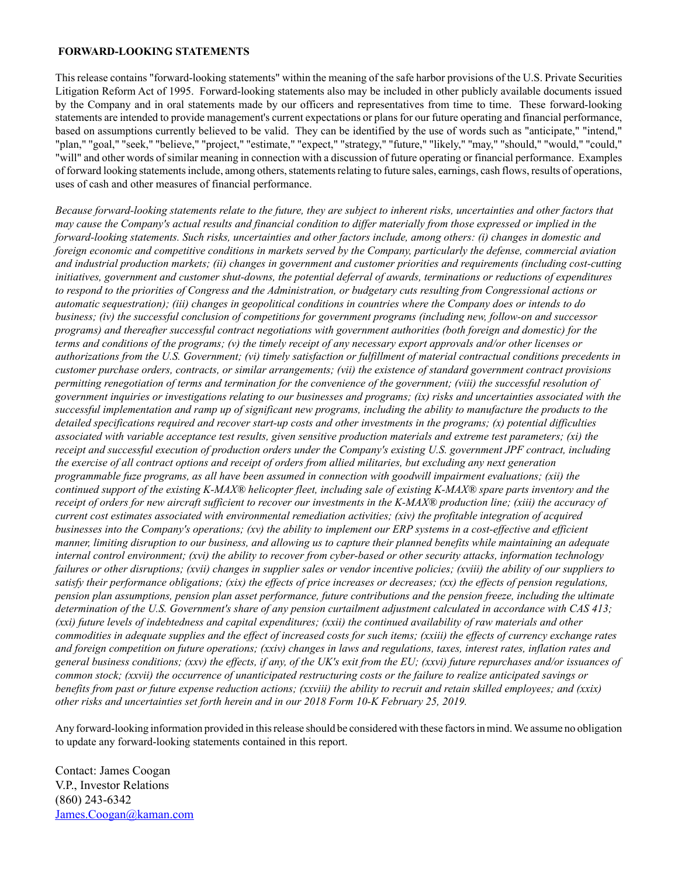#### **FORWARD-LOOKING STATEMENTS**

This release contains "forward-looking statements" within the meaning of the safe harbor provisions of the U.S. Private Securities Litigation Reform Act of 1995. Forward-looking statements also may be included in other publicly available documents issued by the Company and in oral statements made by our officers and representatives from time to time. These forward-looking statements are intended to provide management's current expectations or plans for our future operating and financial performance, based on assumptions currently believed to be valid. They can be identified by the use of words such as "anticipate," "intend," "plan," "goal," "seek," "believe," "project," "estimate," "expect," "strategy," "future," "likely," "may," "should," "would," "could," "will" and other words of similar meaning in connection with a discussion of future operating or financial performance. Examples of forward looking statements include, among others, statements relating to future sales, earnings, cash flows, results of operations, uses of cash and other measures of financial performance.

*Because forward-looking statements relate to the future, they are subject to inherent risks, uncertainties and other factors that may cause the Company's actual results and financial condition to differ materially from those expressed or implied in the forward-looking statements. Such risks, uncertainties and other factors include, among others: (i) changes in domestic and foreign economic and competitive conditions in markets served by the Company, particularly the defense, commercial aviation and industrial production markets; (ii) changes in government and customer priorities and requirements (including cost-cutting initiatives, government and customer shut-downs, the potential deferral of awards, terminations or reductions of expenditures to respond to the priorities of Congress and the Administration, or budgetary cuts resulting from Congressional actions or automatic sequestration); (iii) changes in geopolitical conditions in countries where the Company does or intends to do business; (iv) the successful conclusion of competitions for government programs (including new, follow-on and successor programs) and thereafter successful contract negotiations with government authorities (both foreign and domestic) for the terms and conditions of the programs; (v) the timely receipt of any necessary export approvals and/or other licenses or authorizations from the U.S. Government; (vi) timely satisfaction or fulfillment of material contractual conditions precedents in customer purchase orders, contracts, or similar arrangements; (vii) the existence of standard government contract provisions permitting renegotiation of terms and termination for the convenience of the government; (viii) the successful resolution of government inquiries or investigations relating to our businesses and programs; (ix) risks and uncertainties associated with the successful implementation and ramp up of significant new programs, including the ability to manufacture the products to the detailed specifications required and recover start-up costs and other investments in the programs; (x) potential difficulties associated with variable acceptance test results, given sensitive production materials and extreme test parameters; (xi) the receipt and successful execution of production orders under the Company's existing U.S. government JPF contract, including the exercise of all contract options and receipt of orders from allied militaries, but excluding any next generation programmable fuze programs, as all have been assumed in connection with goodwill impairment evaluations; (xii) the continued support of the existing K-MAX® helicopter fleet, including sale of existing K-MAX® spare parts inventory and the receipt of orders for new aircraft sufficient to recover our investments in the K-MAX® production line; (xiii) the accuracy of current cost estimates associated with environmental remediation activities; (xiv) the profitable integration of acquired businesses into the Company's operations; (xv) the ability to implement our ERP systems in a cost-effective and efficient manner, limiting disruption to our business, and allowing us to capture their planned benefits while maintaining an adequate internal control environment; (xvi) the ability to recover from cyber-based or other security attacks, information technology failures or other disruptions; (xvii) changes in supplier sales or vendor incentive policies; (xviii) the ability of our suppliers to satisfy their performance obligations; (xix) the effects of price increases or decreases; (xx) the effects of pension regulations, pension plan assumptions, pension plan asset performance, future contributions and the pension freeze, including the ultimate determination of the U.S. Government's share of any pension curtailment adjustment calculated in accordance with CAS 413; (xxi) future levels of indebtedness and capital expenditures; (xxii) the continued availability of raw materials and other commodities in adequate supplies and the effect of increased costs for such items; (xxiii) the effects of currency exchange rates and foreign competition on future operations; (xxiv) changes in laws and regulations, taxes, interest rates, inflation rates and general business conditions; (xxv) the effects, if any, of the UK's exit from the EU; (xxvi) future repurchases and/or issuances of common stock; (xxvii) the occurrence of unanticipated restructuring costs or the failure to realize anticipated savings or benefits from past or future expense reduction actions; (xxviii) the ability to recruit and retain skilled employees; and (xxix) other risks and uncertainties set forth herein and in our 2018 Form 10-K February 25, 2019.*

Any forward-looking information provided in this release should be considered with these factors in mind. We assume no obligation to update any forward-looking statements contained in this report.

Contact: James Coogan V.P., Investor Relations (860) 243-6342 James.Coogan@kaman.com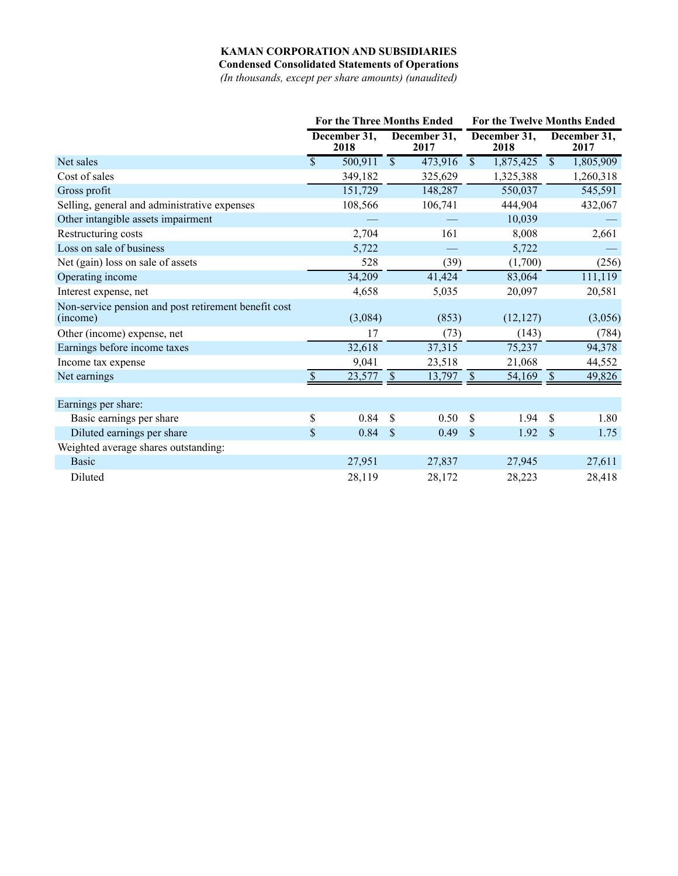## **KAMAN CORPORATION AND SUBSIDIARIES**

**Condensed Consolidated Statements of Operations**

*(In thousands, except per share amounts) (unaudited)*

|                                                                  | <b>For the Three Months Ended</b> |                      |                          | <b>For the Twelve Months Ended</b> |                         |                      |                           |                      |
|------------------------------------------------------------------|-----------------------------------|----------------------|--------------------------|------------------------------------|-------------------------|----------------------|---------------------------|----------------------|
|                                                                  |                                   | December 31,<br>2018 |                          | December 31,<br>2017               |                         | December 31,<br>2018 |                           | December 31,<br>2017 |
| Net sales                                                        | $\overline{\mathbb{S}}$           | 500,911              | $\overline{\mathcal{S}}$ | 473,916                            | $\overline{\mathbb{S}}$ | 1,875,425            | $\overline{\mathcal{S}}$  | 1,805,909            |
| Cost of sales                                                    |                                   | 349,182              |                          | 325,629                            |                         | 1,325,388            |                           | 1,260,318            |
| Gross profit                                                     |                                   | 151,729              |                          | 148,287                            |                         | 550,037              |                           | 545,591              |
| Selling, general and administrative expenses                     |                                   | 108,566              |                          | 106,741                            |                         | 444,904              |                           | 432,067              |
| Other intangible assets impairment                               |                                   |                      |                          |                                    |                         | 10,039               |                           |                      |
| Restructuring costs                                              |                                   | 2,704                |                          | 161                                |                         | 8,008                |                           | 2,661                |
| Loss on sale of business                                         |                                   | 5,722                |                          |                                    |                         | 5,722                |                           |                      |
| Net (gain) loss on sale of assets                                |                                   | 528                  |                          | (39)                               |                         | (1,700)              |                           | (256)                |
| Operating income                                                 |                                   | 34,209               |                          | 41,424                             |                         | 83,064               |                           | 111,119              |
| Interest expense, net                                            |                                   | 4,658                |                          | 5,035                              |                         | 20,097               |                           | 20,581               |
| Non-service pension and post retirement benefit cost<br>(income) |                                   | (3,084)              |                          | (853)                              |                         | (12, 127)            |                           | (3,056)              |
| Other (income) expense, net                                      |                                   | 17                   |                          | (73)                               |                         | (143)                |                           | (784)                |
| Earnings before income taxes                                     |                                   | 32,618               |                          | 37,315                             |                         | 75,237               |                           | 94,378               |
| Income tax expense                                               |                                   | 9,041                |                          | 23,518                             |                         | 21,068               |                           | 44,552               |
| Net earnings                                                     | $\mathbf{\hat{S}}$                | 23,577               | $\mathcal{S}$            | 13,797                             | $\mathcal{S}$           | 54,169               | $\mathbb{S}$              | 49,826               |
| Earnings per share:                                              |                                   |                      |                          |                                    |                         |                      |                           |                      |
| Basic earnings per share                                         | \$                                | 0.84                 | \$                       | 0.50                               | \$                      | 1.94                 | \$                        | 1.80                 |
| Diluted earnings per share                                       | \$                                | 0.84                 | $\mathbb{S}$             | 0.49                               | \$                      | 1.92                 | $\boldsymbol{\mathsf{S}}$ | 1.75                 |
| Weighted average shares outstanding:                             |                                   |                      |                          |                                    |                         |                      |                           |                      |
| <b>Basic</b>                                                     |                                   | 27,951               |                          | 27,837                             |                         | 27,945               |                           | 27,611               |
| Diluted                                                          |                                   | 28,119               |                          | 28,172                             |                         | 28,223               |                           | 28,418               |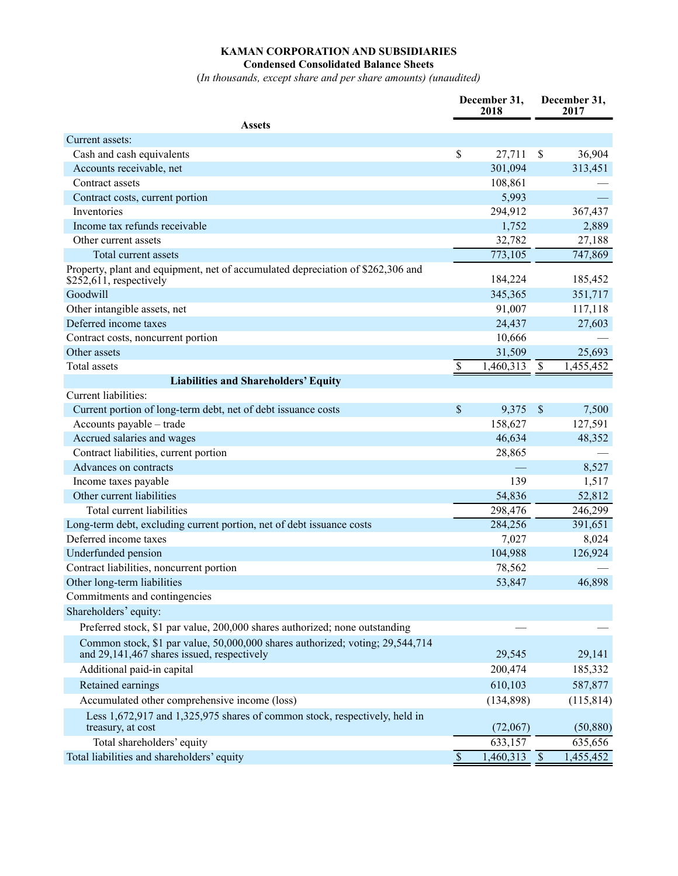## **KAMAN CORPORATION AND SUBSIDIARIES Condensed Consolidated Balance Sheets**

(*In thousands, except share and per share amounts) (unaudited)*

|                                                                                                                             | December 31,<br>2018      |           | December 31,<br>2017 |            |
|-----------------------------------------------------------------------------------------------------------------------------|---------------------------|-----------|----------------------|------------|
| <b>Assets</b>                                                                                                               |                           |           |                      |            |
| Current assets:                                                                                                             |                           |           |                      |            |
| Cash and cash equivalents                                                                                                   | $\boldsymbol{\mathsf{S}}$ | 27,711    | $\mathcal{S}$        | 36,904     |
| Accounts receivable, net                                                                                                    |                           | 301,094   |                      | 313,451    |
| Contract assets                                                                                                             |                           | 108,861   |                      |            |
| Contract costs, current portion                                                                                             |                           | 5,993     |                      |            |
| Inventories                                                                                                                 |                           | 294,912   |                      | 367,437    |
| Income tax refunds receivable                                                                                               |                           | 1,752     |                      | 2,889      |
| Other current assets                                                                                                        |                           | 32,782    |                      | 27,188     |
| Total current assets                                                                                                        |                           | 773,105   |                      | 747,869    |
| Property, plant and equipment, net of accumulated depreciation of \$262,306 and<br>$$252,611$ , respectively                |                           | 184,224   |                      | 185,452    |
| Goodwill                                                                                                                    |                           | 345,365   |                      | 351,717    |
| Other intangible assets, net                                                                                                |                           | 91,007    |                      | 117,118    |
| Deferred income taxes                                                                                                       |                           | 24,437    |                      | 27,603     |
| Contract costs, noncurrent portion                                                                                          |                           | 10,666    |                      |            |
| Other assets                                                                                                                |                           | 31,509    |                      | 25,693     |
| <b>Total</b> assets                                                                                                         | \$                        | 1,460,313 | \$                   | 1,455,452  |
| <b>Liabilities and Shareholders' Equity</b>                                                                                 |                           |           |                      |            |
| Current liabilities:                                                                                                        |                           |           |                      |            |
| Current portion of long-term debt, net of debt issuance costs                                                               | \$                        | 9,375     | $\mathcal{S}$        | 7,500      |
| Accounts payable - trade                                                                                                    |                           | 158,627   |                      | 127,591    |
| Accrued salaries and wages                                                                                                  |                           | 46,634    |                      | 48,352     |
| Contract liabilities, current portion                                                                                       |                           | 28,865    |                      |            |
| Advances on contracts                                                                                                       |                           |           |                      | 8,527      |
| Income taxes payable                                                                                                        |                           | 139       |                      | 1,517      |
| Other current liabilities                                                                                                   |                           | 54,836    |                      | 52,812     |
| Total current liabilities                                                                                                   |                           | 298,476   |                      | 246,299    |
| Long-term debt, excluding current portion, net of debt issuance costs                                                       |                           | 284,256   |                      | 391,651    |
| Deferred income taxes                                                                                                       |                           | 7,027     |                      | 8,024      |
| Underfunded pension                                                                                                         |                           | 104,988   |                      | 126,924    |
| Contract liabilities, noncurrent portion                                                                                    |                           | 78,562    |                      |            |
| Other long-term liabilities                                                                                                 |                           | 53,847    |                      | 46,898     |
| Commitments and contingencies                                                                                               |                           |           |                      |            |
| Shareholders' equity:                                                                                                       |                           |           |                      |            |
| Preferred stock, \$1 par value, 200,000 shares authorized; none outstanding                                                 |                           |           |                      |            |
| Common stock, \$1 par value, 50,000,000 shares authorized; voting; 29,544,714<br>and 29,141,467 shares issued, respectively |                           | 29,545    |                      | 29,141     |
| Additional paid-in capital                                                                                                  |                           | 200,474   |                      | 185,332    |
| Retained earnings                                                                                                           |                           | 610,103   |                      | 587,877    |
| Accumulated other comprehensive income (loss)                                                                               |                           | (134,898) |                      | (115, 814) |
| Less 1,672,917 and 1,325,975 shares of common stock, respectively, held in<br>treasury, at cost                             |                           | (72,067)  |                      | (50, 880)  |
| Total shareholders' equity                                                                                                  |                           | 633,157   |                      | 635,656    |
| Total liabilities and shareholders' equity                                                                                  | $\mathsf{\$}$             | 1,460,313 | $\mathcal{S}$        | 1,455,452  |
|                                                                                                                             |                           |           |                      |            |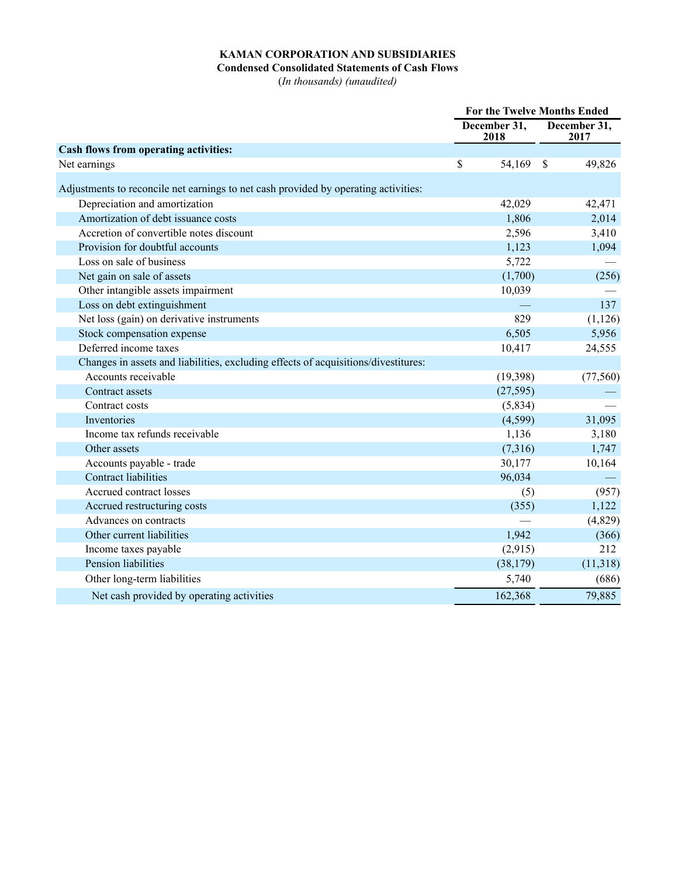## **KAMAN CORPORATION AND SUBSIDIARIES**

#### **Condensed Consolidated Statements of Cash Flows**

(*In thousands) (unaudited)*

|                                                                                     | For the Twelve Months Ended |           |                      |           |
|-------------------------------------------------------------------------------------|-----------------------------|-----------|----------------------|-----------|
|                                                                                     | December 31,<br>2018        |           | December 31,<br>2017 |           |
| <b>Cash flows from operating activities:</b>                                        |                             |           |                      |           |
| Net earnings                                                                        | \$                          | 54,169    | $\mathcal{S}$        | 49,826    |
| Adjustments to reconcile net earnings to net cash provided by operating activities: |                             |           |                      |           |
| Depreciation and amortization                                                       |                             | 42,029    |                      | 42,471    |
| Amortization of debt issuance costs                                                 |                             | 1,806     |                      | 2,014     |
| Accretion of convertible notes discount                                             |                             | 2,596     |                      | 3,410     |
| Provision for doubtful accounts                                                     |                             | 1,123     |                      | 1,094     |
| Loss on sale of business                                                            |                             | 5,722     |                      |           |
| Net gain on sale of assets                                                          |                             | (1,700)   |                      | (256)     |
| Other intangible assets impairment                                                  |                             | 10,039    |                      |           |
| Loss on debt extinguishment                                                         |                             |           |                      | 137       |
| Net loss (gain) on derivative instruments                                           |                             | 829       |                      | (1, 126)  |
| Stock compensation expense                                                          |                             | 6,505     |                      | 5,956     |
| Deferred income taxes                                                               |                             | 10,417    |                      | 24,555    |
| Changes in assets and liabilities, excluding effects of acquisitions/divestitures:  |                             |           |                      |           |
| Accounts receivable                                                                 |                             | (19,398)  |                      | (77, 560) |
| Contract assets                                                                     |                             | (27, 595) |                      |           |
| Contract costs                                                                      |                             | (5,834)   |                      |           |
| Inventories                                                                         |                             | (4,599)   |                      | 31,095    |
| Income tax refunds receivable                                                       |                             | 1,136     |                      | 3,180     |
| Other assets                                                                        |                             | (7,316)   |                      | 1,747     |
| Accounts payable - trade                                                            |                             | 30,177    |                      | 10,164    |
| <b>Contract liabilities</b>                                                         |                             | 96,034    |                      |           |
| Accrued contract losses                                                             |                             | (5)       |                      | (957)     |
| Accrued restructuring costs                                                         |                             | (355)     |                      | 1,122     |
| Advances on contracts                                                               |                             |           |                      | (4,829)   |
| Other current liabilities                                                           |                             | 1,942     |                      | (366)     |
| Income taxes payable                                                                |                             | (2,915)   |                      | 212       |
| Pension liabilities                                                                 |                             | (38, 179) |                      | (11,318)  |
| Other long-term liabilities                                                         |                             | 5,740     |                      | (686)     |
| Net cash provided by operating activities                                           |                             | 162,368   |                      | 79,885    |